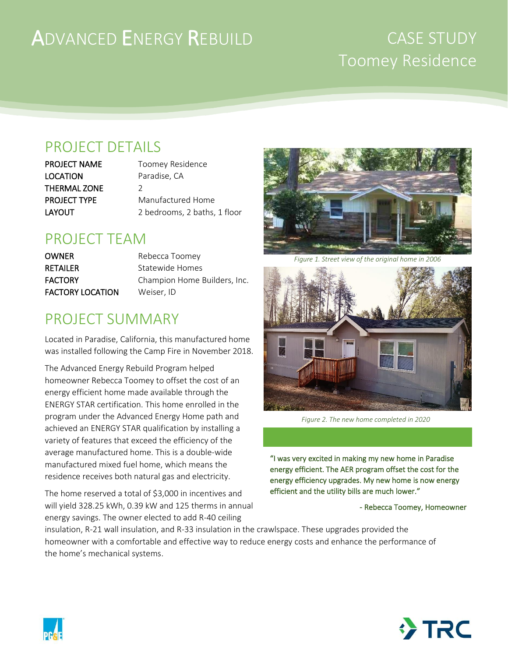# ADVANCED ENERGY REBUILD

## CASE STUDY Toomey Residence

## PROJECT DETAILS

LOCATION Paradise, CA THERMAL ZONE 2

PROJECT NAME Toomey Residence **PROJECT TYPE** Manufactured Home LAYOUT 2 bedrooms, 2 baths, 1 floor

### PROJECT TEAM

**OWNER** Rebecca Toomey RETAILER Statewide Homes FACTORY LOCATION Weiser, ID

FACTORY Champion Home Builders, Inc.

## PROJECT SUMMARY

Located in Paradise, California, this manufactured home was installed following the Camp Fire in November 2018.

The Advanced Energy Rebuild Program helped homeowner Rebecca Toomey to offset the cost of an energy efficient home made available through the ENERGY STAR certification. This home enrolled in the program under the Advanced Energy Home path and achieved an ENERGY STAR qualification by installing a variety of features that exceed the efficiency of the average manufactured home. This is a double-wide manufactured mixed fuel home, which means the residence receives both natural gas and electricity.

The home reserved a total of \$3,000 in incentives and will yield 328.25 kWh, 0.39 kW and 125 therms in annual energy savings. The owner elected to add R-40 ceiling



*Figure 1. Street view of the original home in 2006*



*Figure 2. The new home completed in 2020*

"I was very excited in making my new home in Paradise energy efficient. The AER program offset the cost for the energy efficiency upgrades. My new home is now energy efficient and the utility bills are much lower."

#### - Rebecca Toomey, Homeowner

insulation, R-21 wall insulation, and R-33 insulation in the crawlspace. These upgrades provided the homeowner with a comfortable and effective way to reduce energy costs and enhance the performance of the home's mechanical systems.



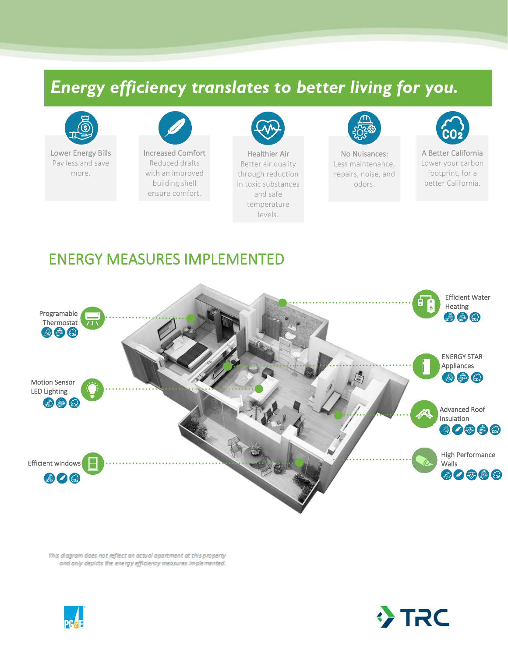## *Energy efficiency translates to better living for you.*



Lower Energy Bills Pay less and save more.



Reduced drafts with an improved building shell ensure comfort.



Healthier Air Better air quality through reduction in toxic substances and safe temperature levels.



No Nuisances: Less maintenance, repairs, noise, and odors.



A Better California Lower your carbon footprint, for a better California.

#### ENERGY MEASURES IMPLEMENTED



This diagram does not reflect an actual apartment at this property and only depicts the energy efficiency measures implemented.